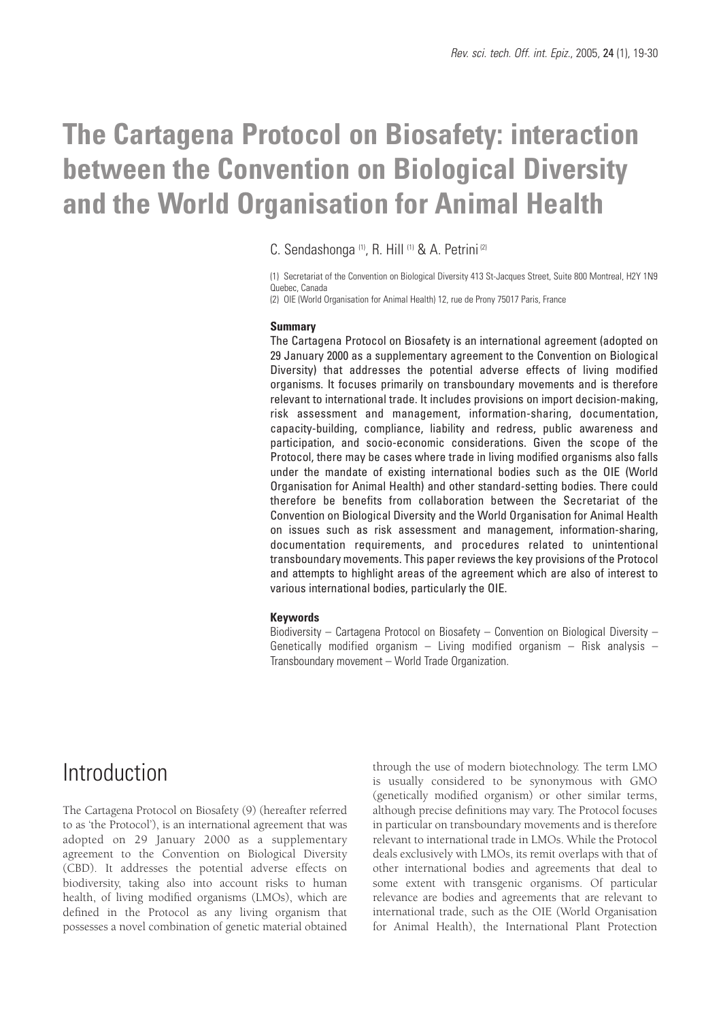# **The Cartagena Protocol on Biosafety: interaction between the Convention on Biological Diversity and the World Organisation for Animal Health**

#### C. Sendashonga (1), R. Hill (1) & A. Petrini<sup>(2)</sup>

(1) Secretariat of the Convention on Biological Diversity 413 St-Jacques Street, Suite 800 Montreal, H2Y 1N9 Quebec, Canada

(2) OIE (World Organisation for Animal Health) 12, rue de Prony 75017 Paris, France

#### **Summary**

The Cartagena Protocol on Biosafety is an international agreement (adopted on 29 January 2000 as a supplementary agreement to the Convention on Biological Diversity) that addresses the potential adverse effects of living modified organisms. It focuses primarily on transboundary movements and is therefore relevant to international trade. It includes provisions on import decision-making, risk assessment and management, information-sharing, documentation, capacity-building, compliance, liability and redress, public awareness and participation, and socio-economic considerations. Given the scope of the Protocol, there may be cases where trade in living modified organisms also falls under the mandate of existing international bodies such as the OIE (World Organisation for Animal Health) and other standard-setting bodies. There could therefore be benefits from collaboration between the Secretariat of the Convention on Biological Diversity and the World Organisation for Animal Health on issues such as risk assessment and management, information-sharing, documentation requirements, and procedures related to unintentional transboundary movements. This paper reviews the key provisions of the Protocol and attempts to highlight areas of the agreement which are also of interest to various international bodies, particularly the OIE.

#### **Keywords**

Biodiversity – Cartagena Protocol on Biosafety – Convention on Biological Diversity – Genetically modified organism  $-$  Living modified organism  $-$  Risk analysis  $-$ Transboundary movement – World Trade Organization.

### Introduction

The Cartagena Protocol on Biosafety (9) (hereafter referred to as 'the Protocol'), is an international agreement that was adopted on 29 January 2000 as a supplementary agreement to the Convention on Biological Diversity (CBD). It addresses the potential adverse effects on biodiversity, taking also into account risks to human health, of living modified organisms (LMOs), which are defined in the Protocol as any living organism that possesses a novel combination of genetic material obtained

through the use of modern biotechnology. The term LMO is usually considered to be synonymous with GMO (genetically modified organism) or other similar terms, although precise definitions may vary. The Protocol focuses in particular on transboundary movements and is therefore relevant to international trade in LMOs. While the Protocol deals exclusively with LMOs, its remit overlaps with that of other international bodies and agreements that deal to some extent with transgenic organisms. Of particular relevance are bodies and agreements that are relevant to international trade, such as the OIE (World Organisation for Animal Health), the International Plant Protection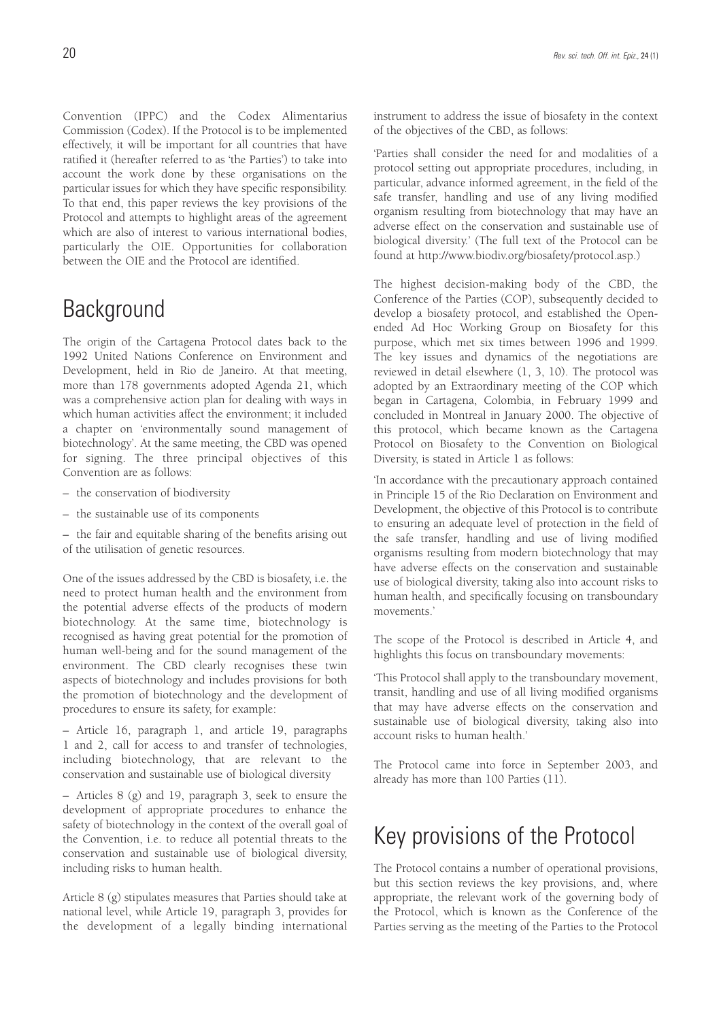Convention (IPPC) and the Codex Alimentarius Commission (Codex). If the Protocol is to be implemented effectively, it will be important for all countries that have ratified it (hereafter referred to as 'the Parties') to take into account the work done by these organisations on the particular issues for which they have specific responsibility. To that end, this paper reviews the key provisions of the Protocol and attempts to highlight areas of the agreement which are also of interest to various international bodies, particularly the OIE. Opportunities for collaboration between the OIE and the Protocol are identified.

### **Background**

The origin of the Cartagena Protocol dates back to the 1992 United Nations Conference on Environment and Development, held in Rio de Janeiro. At that meeting, more than 178 governments adopted Agenda 21, which was a comprehensive action plan for dealing with ways in which human activities affect the environment; it included a chapter on 'environmentally sound management of biotechnology'. At the same meeting, the CBD was opened for signing. The three principal objectives of this Convention are as follows:

- the conservation of biodiversity
- the sustainable use of its components

– the fair and equitable sharing of the benefits arising out of the utilisation of genetic resources.

One of the issues addressed by the CBD is biosafety, i.e. the need to protect human health and the environment from the potential adverse effects of the products of modern biotechnology. At the same time, biotechnology is recognised as having great potential for the promotion of human well-being and for the sound management of the environment. The CBD clearly recognises these twin aspects of biotechnology and includes provisions for both the promotion of biotechnology and the development of procedures to ensure its safety, for example:

– Article 16, paragraph 1, and article 19, paragraphs 1 and 2, call for access to and transfer of technologies, including biotechnology, that are relevant to the conservation and sustainable use of biological diversity

– Articles 8 (g) and 19, paragraph 3, seek to ensure the development of appropriate procedures to enhance the safety of biotechnology in the context of the overall goal of the Convention, i.e. to reduce all potential threats to the conservation and sustainable use of biological diversity, including risks to human health.

Article 8 (g) stipulates measures that Parties should take at national level, while Article 19, paragraph 3, provides for the development of a legally binding international instrument to address the issue of biosafety in the context of the objectives of the CBD, as follows:

'Parties shall consider the need for and modalities of a protocol setting out appropriate procedures, including, in particular, advance informed agreement, in the field of the safe transfer, handling and use of any living modified organism resulting from biotechnology that may have an adverse effect on the conservation and sustainable use of biological diversity.' (The full text of the Protocol can be found at http://www.biodiv.org/biosafety/protocol.asp.)

The highest decision-making body of the CBD, the Conference of the Parties (COP), subsequently decided to develop a biosafety protocol, and established the Openended Ad Hoc Working Group on Biosafety for this purpose, which met six times between 1996 and 1999. The key issues and dynamics of the negotiations are reviewed in detail elsewhere (1, 3, 10). The protocol was adopted by an Extraordinary meeting of the COP which began in Cartagena, Colombia, in February 1999 and concluded in Montreal in January 2000. The objective of this protocol, which became known as the Cartagena Protocol on Biosafety to the Convention on Biological Diversity, is stated in Article 1 as follows:

'In accordance with the precautionary approach contained in Principle 15 of the Rio Declaration on Environment and Development, the objective of this Protocol is to contribute to ensuring an adequate level of protection in the field of the safe transfer, handling and use of living modified organisms resulting from modern biotechnology that may have adverse effects on the conservation and sustainable use of biological diversity, taking also into account risks to human health, and specifically focusing on transboundary movements.'

The scope of the Protocol is described in Article 4, and highlights this focus on transboundary movements:

'This Protocol shall apply to the transboundary movement, transit, handling and use of all living modified organisms that may have adverse effects on the conservation and sustainable use of biological diversity, taking also into account risks to human health.'

The Protocol came into force in September 2003, and already has more than 100 Parties (11).

### Key provisions of the Protocol

The Protocol contains a number of operational provisions, but this section reviews the key provisions, and, where appropriate, the relevant work of the governing body of the Protocol, which is known as the Conference of the Parties serving as the meeting of the Parties to the Protocol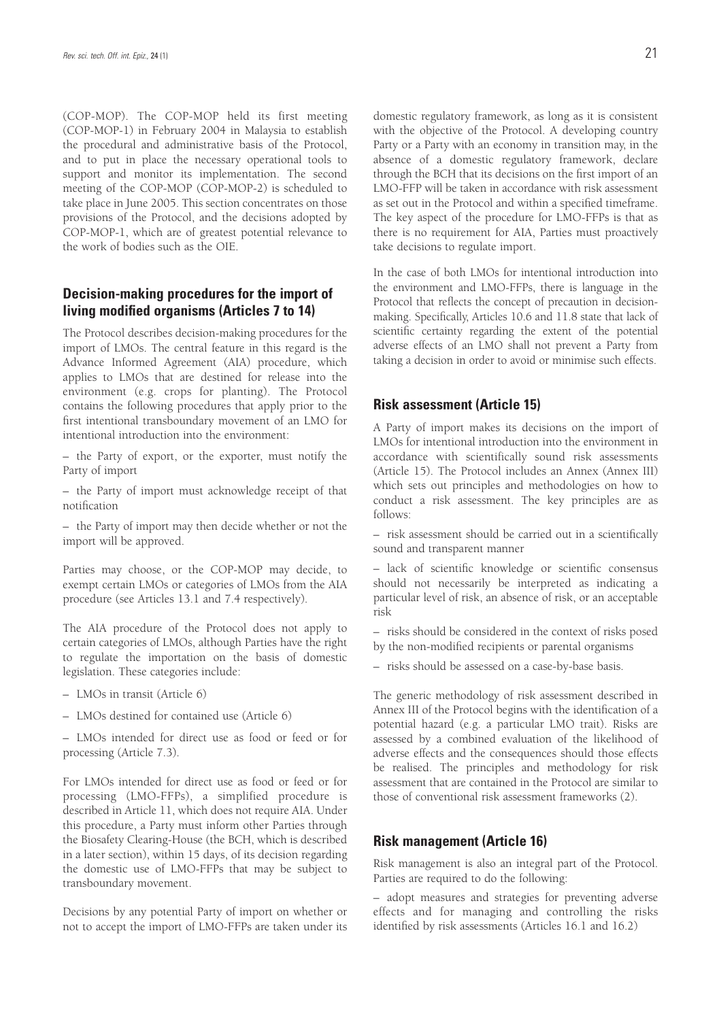(COP-MOP). The COP-MOP held its first meeting (COP-MOP-1) in February 2004 in Malaysia to establish the procedural and administrative basis of the Protocol, and to put in place the necessary operational tools to support and monitor its implementation. The second meeting of the COP-MOP (COP-MOP-2) is scheduled to take place in June 2005. This section concentrates on those provisions of the Protocol, and the decisions adopted by COP-MOP-1, which are of greatest potential relevance to the work of bodies such as the OIE.

#### **Decision-making procedures for the import of living modified organisms (Articles 7 to 14)**

The Protocol describes decision-making procedures for the import of LMOs. The central feature in this regard is the Advance Informed Agreement (AIA) procedure, which applies to LMOs that are destined for release into the environment (e.g. crops for planting). The Protocol contains the following procedures that apply prior to the first intentional transboundary movement of an LMO for intentional introduction into the environment:

– the Party of export, or the exporter, must notify the Party of import

– the Party of import must acknowledge receipt of that notification

– the Party of import may then decide whether or not the import will be approved.

Parties may choose, or the COP-MOP may decide, to exempt certain LMOs or categories of LMOs from the AIA procedure (see Articles 13.1 and 7.4 respectively).

The AIA procedure of the Protocol does not apply to certain categories of LMOs, although Parties have the right to regulate the importation on the basis of domestic legislation. These categories include:

- LMOs in transit (Article 6)
- LMOs destined for contained use (Article 6)

– LMOs intended for direct use as food or feed or for processing (Article 7.3).

For LMOs intended for direct use as food or feed or for processing (LMO-FFPs), a simplified procedure is described in Article 11, which does not require AIA. Under this procedure, a Party must inform other Parties through the Biosafety Clearing-House (the BCH, which is described in a later section), within 15 days, of its decision regarding the domestic use of LMO-FFPs that may be subject to transboundary movement.

Decisions by any potential Party of import on whether or not to accept the import of LMO-FFPs are taken under its domestic regulatory framework, as long as it is consistent with the objective of the Protocol. A developing country Party or a Party with an economy in transition may, in the absence of a domestic regulatory framework, declare through the BCH that its decisions on the first import of an LMO-FFP will be taken in accordance with risk assessment as set out in the Protocol and within a specified timeframe. The key aspect of the procedure for LMO-FFPs is that as

In the case of both LMOs for intentional introduction into the environment and LMO-FFPs, there is language in the Protocol that reflects the concept of precaution in decisionmaking. Specifically, Articles 10.6 and 11.8 state that lack of scientific certainty regarding the extent of the potential adverse effects of an LMO shall not prevent a Party from taking a decision in order to avoid or minimise such effects.

there is no requirement for AIA, Parties must proactively

#### **Risk assessment (Article 15)**

take decisions to regulate import.

A Party of import makes its decisions on the import of LMOs for intentional introduction into the environment in accordance with scientifically sound risk assessments (Article 15). The Protocol includes an Annex (Annex III) which sets out principles and methodologies on how to conduct a risk assessment. The key principles are as follows:

– risk assessment should be carried out in a scientifically sound and transparent manner

– lack of scientific knowledge or scientific consensus should not necessarily be interpreted as indicating a particular level of risk, an absence of risk, or an acceptable risk

– risks should be considered in the context of risks posed by the non-modified recipients or parental organisms

– risks should be assessed on a case-by-base basis.

The generic methodology of risk assessment described in Annex III of the Protocol begins with the identification of a potential hazard (e.g. a particular LMO trait). Risks are assessed by a combined evaluation of the likelihood of adverse effects and the consequences should those effects be realised. The principles and methodology for risk assessment that are contained in the Protocol are similar to those of conventional risk assessment frameworks (2).

#### **Risk management (Article 16)**

Risk management is also an integral part of the Protocol. Parties are required to do the following:

– adopt measures and strategies for preventing adverse effects and for managing and controlling the risks identified by risk assessments (Articles 16.1 and 16.2)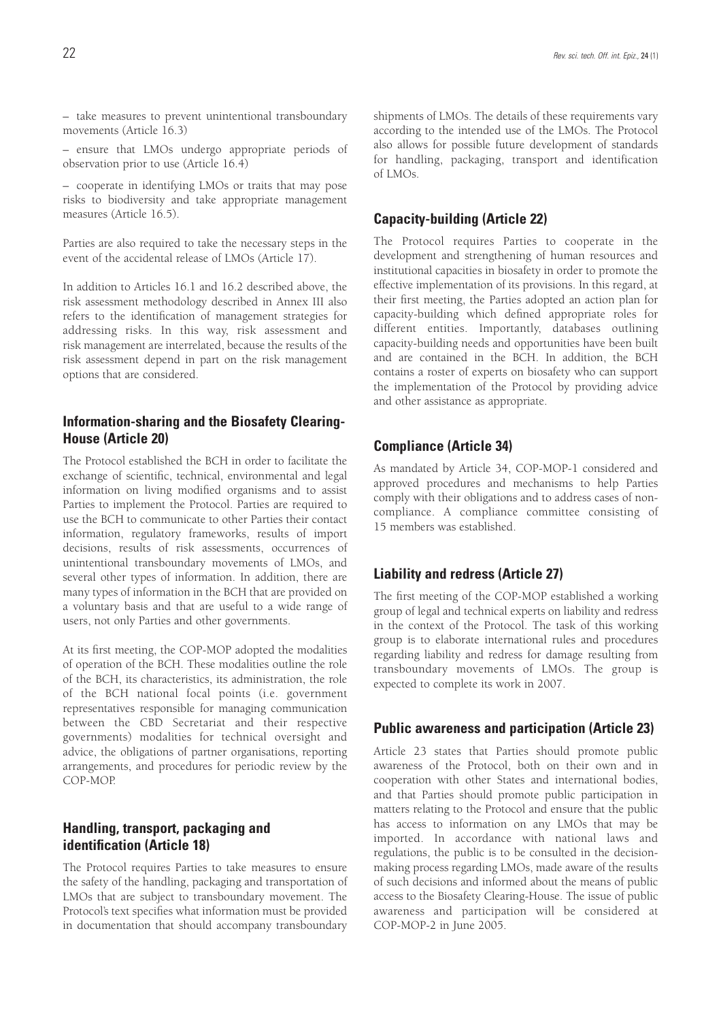– take measures to prevent unintentional transboundary movements (Article 16.3)

– ensure that LMOs undergo appropriate periods of observation prior to use (Article 16.4)

– cooperate in identifying LMOs or traits that may pose risks to biodiversity and take appropriate management measures (Article 16.5).

Parties are also required to take the necessary steps in the event of the accidental release of LMOs (Article 17).

In addition to Articles 16.1 and 16.2 described above, the risk assessment methodology described in Annex III also refers to the identification of management strategies for addressing risks. In this way, risk assessment and risk management are interrelated, because the results of the risk assessment depend in part on the risk management options that are considered.

#### **Information-sharing and the Biosafety Clearing-House (Article 20)**

The Protocol established the BCH in order to facilitate the exchange of scientific, technical, environmental and legal information on living modified organisms and to assist Parties to implement the Protocol. Parties are required to use the BCH to communicate to other Parties their contact information, regulatory frameworks, results of import decisions, results of risk assessments, occurrences of unintentional transboundary movements of LMOs, and several other types of information. In addition, there are many types of information in the BCH that are provided on a voluntary basis and that are useful to a wide range of users, not only Parties and other governments.

At its first meeting, the COP-MOP adopted the modalities of operation of the BCH. These modalities outline the role of the BCH, its characteristics, its administration, the role of the BCH national focal points (i.e. government representatives responsible for managing communication between the CBD Secretariat and their respective governments) modalities for technical oversight and advice, the obligations of partner organisations, reporting arrangements, and procedures for periodic review by the COP-MOP.

#### **Handling, transport, packaging and identification (Article 18)**

The Protocol requires Parties to take measures to ensure the safety of the handling, packaging and transportation of LMOs that are subject to transboundary movement. The Protocol's text specifies what information must be provided in documentation that should accompany transboundary shipments of LMOs. The details of these requirements vary according to the intended use of the LMOs. The Protocol also allows for possible future development of standards for handling, packaging, transport and identification of LMOs.

#### **Capacity-building (Article 22)**

The Protocol requires Parties to cooperate in the development and strengthening of human resources and institutional capacities in biosafety in order to promote the effective implementation of its provisions. In this regard, at their first meeting, the Parties adopted an action plan for capacity-building which defined appropriate roles for different entities. Importantly, databases outlining capacity-building needs and opportunities have been built and are contained in the BCH. In addition, the BCH contains a roster of experts on biosafety who can support the implementation of the Protocol by providing advice and other assistance as appropriate.

#### **Compliance (Article 34)**

As mandated by Article 34, COP-MOP-1 considered and approved procedures and mechanisms to help Parties comply with their obligations and to address cases of noncompliance. A compliance committee consisting of 15 members was established.

#### **Liability and redress (Article 27)**

The first meeting of the COP-MOP established a working group of legal and technical experts on liability and redress in the context of the Protocol. The task of this working group is to elaborate international rules and procedures regarding liability and redress for damage resulting from transboundary movements of LMOs. The group is expected to complete its work in 2007.

#### **Public awareness and participation (Article 23)**

Article 23 states that Parties should promote public awareness of the Protocol, both on their own and in cooperation with other States and international bodies, and that Parties should promote public participation in matters relating to the Protocol and ensure that the public has access to information on any LMOs that may be imported. In accordance with national laws and regulations, the public is to be consulted in the decisionmaking process regarding LMOs, made aware of the results of such decisions and informed about the means of public access to the Biosafety Clearing-House. The issue of public awareness and participation will be considered at COP-MOP-2 in June 2005.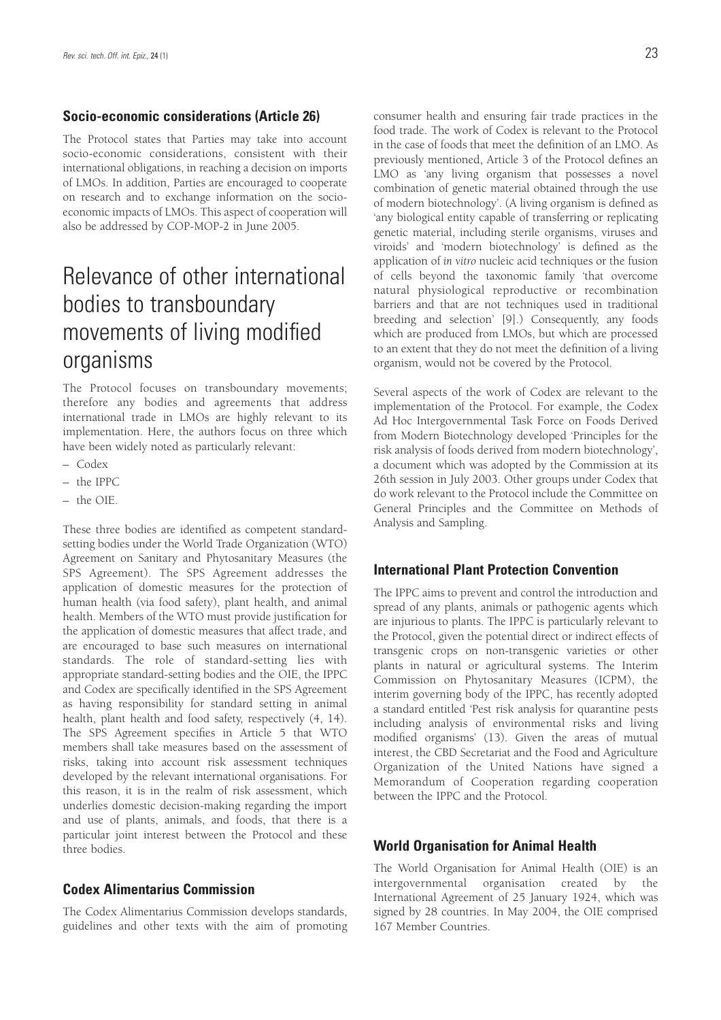#### **Socio-economic considerations (Article 26)**

The Protocol states that Parties may take into account socio-economic considerations, consistent with their international obligations, in reaching a decision on imports of LMOs. In addition, Parties are encouraged to cooperate on research and to exchange information on the socioeconomic impacts of LMOs. This aspect of cooperation will also be addressed by COP-MOP-2 in June 2005.

## Relevance of other international bodies to transboundary movements of living modified organisms

The Protocol focuses on transboundary movements; therefore any bodies and agreements that address international trade in LMOs are highly relevant to its implementation. Here, the authors focus on three which have been widely noted as particularly relevant:

- Codex
- the IPPC
- the OIE.

These three bodies are identified as competent standardsetting bodies under the World Trade Organization (WTO) Agreement on Sanitary and Phytosanitary Measures (the SPS Agreement). The SPS Agreement addresses the application of domestic measures for the protection of human health (via food safety), plant health, and animal health. Members of the WTO must provide justification for the application of domestic measures that affect trade, and are encouraged to base such measures on international standards. The role of standard-setting lies with appropriate standard-setting bodies and the OIE, the IPPC and Codex are specifically identified in the SPS Agreement as having responsibility for standard setting in animal health, plant health and food safety, respectively (4, 14). The SPS Agreement specifies in Article 5 that WTO members shall take measures based on the assessment of risks, taking into account risk assessment techniques developed by the relevant international organisations. For this reason, it is in the realm of risk assessment, which underlies domestic decision-making regarding the import and use of plants, animals, and foods, that there is a particular joint interest between the Protocol and these three bodies.

#### **Codex Alimentarius Commission**

The Codex Alimentarius Commission develops standards, guidelines and other texts with the aim of promoting consumer health and ensuring fair trade practices in the food trade. The work of Codex is relevant to the Protocol in the case of foods that meet the definition of an LMO. As previously mentioned, Article 3 of the Protocol defines an LMO as 'any living organism that possesses a novel combination of genetic material obtained through the use of modern biotechnology'. (A living organism is defined as 'any biological entity capable of transferring or replicating genetic material, including sterile organisms, viruses and viroids' and 'modern biotechnology' is defined as the application of *in vitro* nucleic acid techniques or the fusion of cells beyond the taxonomic family 'that overcome natural physiological reproductive or recombination barriers and that are not techniques used in traditional breeding and selection' [9].) Consequently, any foods which are produced from LMOs, but which are processed to an extent that they do not meet the definition of a living organism, would not be covered by the Protocol.

Several aspects of the work of Codex are relevant to the implementation of the Protocol. For example, the Codex Ad Hoc Intergovernmental Task Force on Foods Derived from Modern Biotechnology developed 'Principles for the risk analysis of foods derived from modern biotechnology', a document which was adopted by the Commission at its 26th session in July 2003. Other groups under Codex that do work relevant to the Protocol include the Committee on General Principles and the Committee on Methods of Analysis and Sampling.

#### **International Plant Protection Convention**

The IPPC aims to prevent and control the introduction and spread of any plants, animals or pathogenic agents which are injurious to plants. The IPPC is particularly relevant to the Protocol, given the potential direct or indirect effects of transgenic crops on non-transgenic varieties or other plants in natural or agricultural systems. The Interim Commission on Phytosanitary Measures (ICPM), the interim governing body of the IPPC, has recently adopted a standard entitled 'Pest risk analysis for quarantine pests including analysis of environmental risks and living modified organisms' (13). Given the areas of mutual interest, the CBD Secretariat and the Food and Agriculture Organization of the United Nations have signed a Memorandum of Cooperation regarding cooperation between the IPPC and the Protocol.

#### **World Organisation for Animal Health**

The World Organisation for Animal Health (OIE) is an intergovernmental organisation created by the International Agreement of 25 January 1924, which was signed by 28 countries. In May 2004, the OIE comprised 167 Member Countries.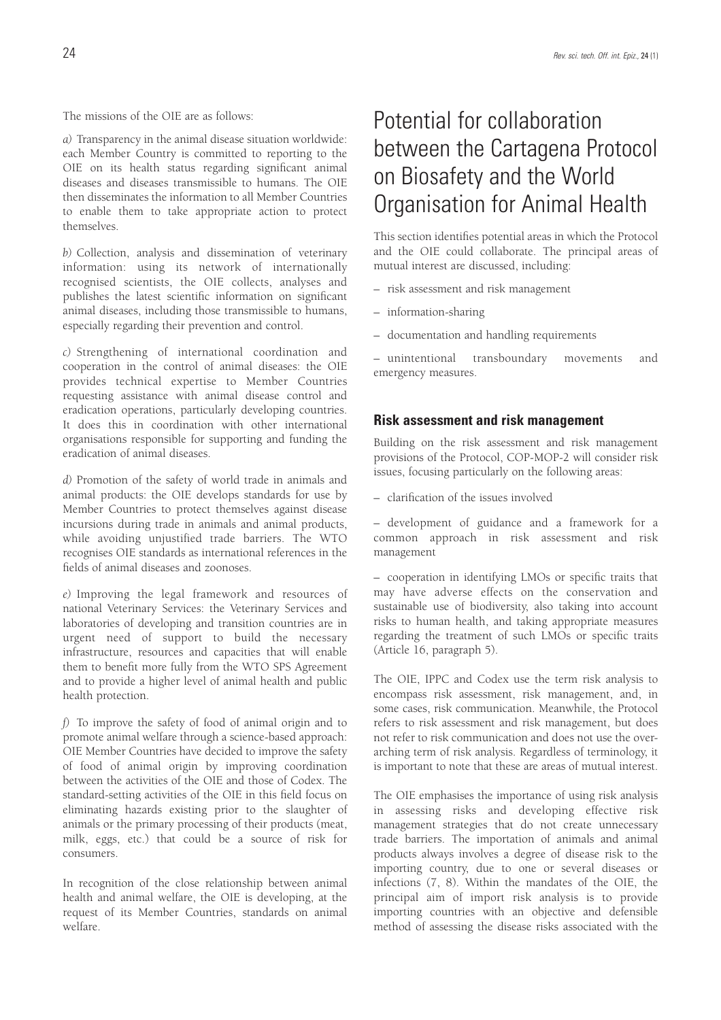The missions of the OIE are as follows:

*a)* Transparency in the animal disease situation worldwide: each Member Country is committed to reporting to the OIE on its health status regarding significant animal diseases and diseases transmissible to humans. The OIE then disseminates the information to all Member Countries to enable them to take appropriate action to protect themselves.

*b)* Collection, analysis and dissemination of veterinary information: using its network of internationally recognised scientists, the OIE collects, analyses and publishes the latest scientific information on significant animal diseases, including those transmissible to humans, especially regarding their prevention and control.

*c)* Strengthening of international coordination and cooperation in the control of animal diseases: the OIE provides technical expertise to Member Countries requesting assistance with animal disease control and eradication operations, particularly developing countries. It does this in coordination with other international organisations responsible for supporting and funding the eradication of animal diseases.

*d)* Promotion of the safety of world trade in animals and animal products: the OIE develops standards for use by Member Countries to protect themselves against disease incursions during trade in animals and animal products, while avoiding unjustified trade barriers. The WTO recognises OIE standards as international references in the fields of animal diseases and zoonoses.

*e)* Improving the legal framework and resources of national Veterinary Services: the Veterinary Services and laboratories of developing and transition countries are in urgent need of support to build the necessary infrastructure, resources and capacities that will enable them to benefit more fully from the WTO SPS Agreement and to provide a higher level of animal health and public health protection.

*f)* To improve the safety of food of animal origin and to promote animal welfare through a science-based approach: OIE Member Countries have decided to improve the safety of food of animal origin by improving coordination between the activities of the OIE and those of Codex. The standard-setting activities of the OIE in this field focus on eliminating hazards existing prior to the slaughter of animals or the primary processing of their products (meat, milk, eggs, etc.) that could be a source of risk for consumers.

In recognition of the close relationship between animal health and animal welfare, the OIE is developing, at the request of its Member Countries, standards on animal welfare.

## Potential for collaboration between the Cartagena Protocol on Biosafety and the World Organisation for Animal Health

This section identifies potential areas in which the Protocol and the OIE could collaborate. The principal areas of mutual interest are discussed, including:

- risk assessment and risk management
- information-sharing
- documentation and handling requirements

– unintentional transboundary movements and emergency measures.

#### **Risk assessment and risk management**

Building on the risk assessment and risk management provisions of the Protocol, COP-MOP-2 will consider risk issues, focusing particularly on the following areas:

– clarification of the issues involved

– development of guidance and a framework for a common approach in risk assessment and risk management

– cooperation in identifying LMOs or specific traits that may have adverse effects on the conservation and sustainable use of biodiversity, also taking into account risks to human health, and taking appropriate measures regarding the treatment of such LMOs or specific traits (Article 16, paragraph 5).

The OIE, IPPC and Codex use the term risk analysis to encompass risk assessment, risk management, and, in some cases, risk communication. Meanwhile, the Protocol refers to risk assessment and risk management, but does not refer to risk communication and does not use the overarching term of risk analysis. Regardless of terminology, it is important to note that these are areas of mutual interest.

The OIE emphasises the importance of using risk analysis in assessing risks and developing effective risk management strategies that do not create unnecessary trade barriers. The importation of animals and animal products always involves a degree of disease risk to the importing country, due to one or several diseases or infections (7, 8). Within the mandates of the OIE, the principal aim of import risk analysis is to provide importing countries with an objective and defensible method of assessing the disease risks associated with the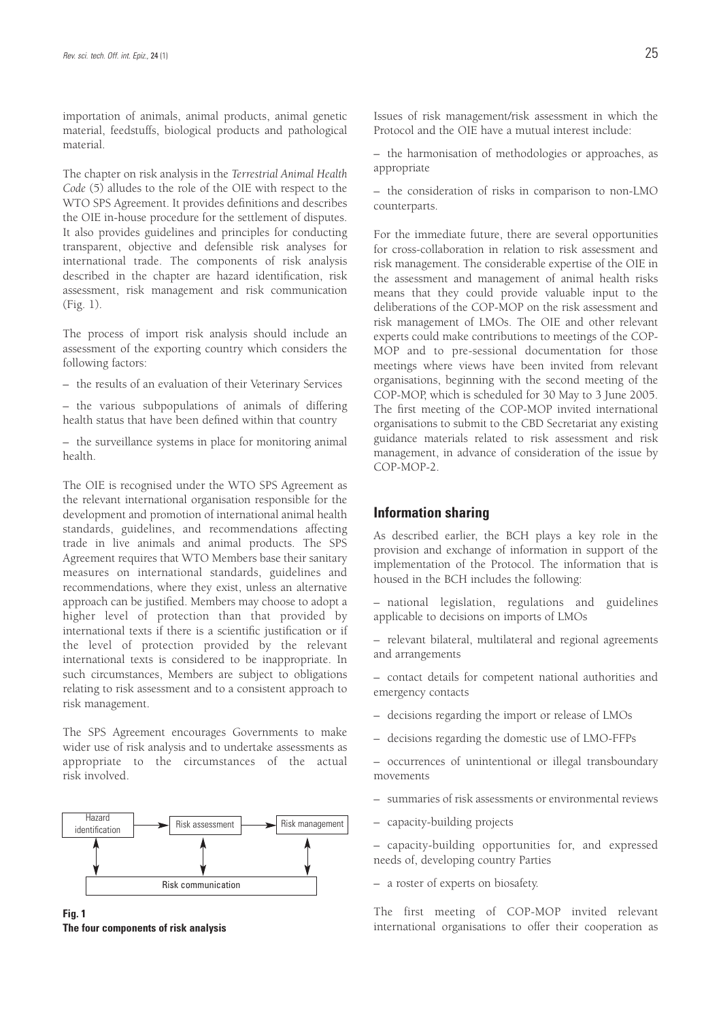importation of animals, animal products, animal genetic material, feedstuffs, biological products and pathological material.

The chapter on risk analysis in the *Terrestrial Animal Health Code* (5) alludes to the role of the OIE with respect to the WTO SPS Agreement. It provides definitions and describes the OIE in-house procedure for the settlement of disputes. It also provides guidelines and principles for conducting transparent, objective and defensible risk analyses for international trade. The components of risk analysis described in the chapter are hazard identification, risk assessment, risk management and risk communication (Fig. 1).

The process of import risk analysis should include an assessment of the exporting country which considers the following factors:

– the results of an evaluation of their Veterinary Services

– the various subpopulations of animals of differing health status that have been defined within that country

– the surveillance systems in place for monitoring animal health.

The OIE is recognised under the WTO SPS Agreement as the relevant international organisation responsible for the development and promotion of international animal health standards, guidelines, and recommendations affecting trade in live animals and animal products. The SPS Agreement requires that WTO Members base their sanitary measures on international standards, guidelines and recommendations, where they exist, unless an alternative approach can be justified. Members may choose to adopt a higher level of protection than that provided by international texts if there is a scientific justification or if the level of protection provided by the relevant international texts is considered to be inappropriate. In such circumstances, Members are subject to obligations relating to risk assessment and to a consistent approach to risk management.

The SPS Agreement encourages Governments to make wider use of risk analysis and to undertake assessments as appropriate to the circumstances of the actual risk involved.



**Fig. 1 The four components of risk analysis**

Issues of risk management/risk assessment in which the Protocol and the OIE have a mutual interest include:

– the harmonisation of methodologies or approaches, as appropriate

– the consideration of risks in comparison to non-LMO counterparts.

For the immediate future, there are several opportunities for cross-collaboration in relation to risk assessment and risk management. The considerable expertise of the OIE in the assessment and management of animal health risks means that they could provide valuable input to the deliberations of the COP-MOP on the risk assessment and risk management of LMOs. The OIE and other relevant experts could make contributions to meetings of the COP-MOP and to pre-sessional documentation for those meetings where views have been invited from relevant organisations, beginning with the second meeting of the COP-MOP, which is scheduled for 30 May to 3 June 2005. The first meeting of the COP-MOP invited international organisations to submit to the CBD Secretariat any existing guidance materials related to risk assessment and risk management, in advance of consideration of the issue by COP-MOP-2.

#### **Information sharing**

As described earlier, the BCH plays a key role in the provision and exchange of information in support of the implementation of the Protocol. The information that is housed in the BCH includes the following:

– national legislation, regulations and guidelines applicable to decisions on imports of LMOs

– relevant bilateral, multilateral and regional agreements and arrangements

– contact details for competent national authorities and emergency contacts

- decisions regarding the import or release of LMOs
- decisions regarding the domestic use of LMO-FFPs

– occurrences of unintentional or illegal transboundary movements

- summaries of risk assessments or environmental reviews
- capacity-building projects

– capacity-building opportunities for, and expressed needs of, developing country Parties

– a roster of experts on biosafety.

The first meeting of COP-MOP invited relevant international organisations to offer their cooperation as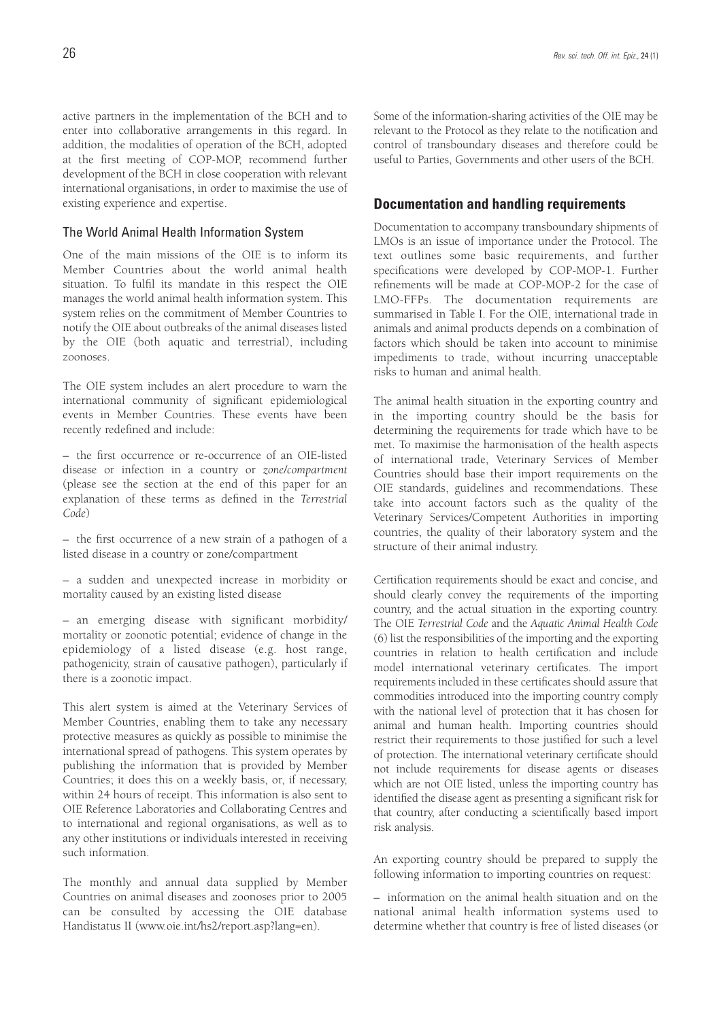active partners in the implementation of the BCH and to enter into collaborative arrangements in this regard. In addition, the modalities of operation of the BCH, adopted at the first meeting of COP-MOP, recommend further development of the BCH in close cooperation with relevant international organisations, in order to maximise the use of existing experience and expertise.

#### The World Animal Health Information System

One of the main missions of the OIE is to inform its Member Countries about the world animal health situation. To fulfil its mandate in this respect the OIE manages the world animal health information system. This system relies on the commitment of Member Countries to notify the OIE about outbreaks of the animal diseases listed by the OIE (both aquatic and terrestrial), including zoonoses.

The OIE system includes an alert procedure to warn the international community of significant epidemiological events in Member Countries. These events have been recently redefined and include:

– the first occurrence or re-occurrence of an OIE-listed disease or infection in a country or *zone/compartment* (please see the section at the end of this paper for an explanation of these terms as defined in the *Terrestrial Code*)

– the first occurrence of a new strain of a pathogen of a listed disease in a country or zone/compartment

– a sudden and unexpected increase in morbidity or mortality caused by an existing listed disease

– an emerging disease with significant morbidity/ mortality or zoonotic potential; evidence of change in the epidemiology of a listed disease (e.g. host range, pathogenicity, strain of causative pathogen), particularly if there is a zoonotic impact.

This alert system is aimed at the Veterinary Services of Member Countries, enabling them to take any necessary protective measures as quickly as possible to minimise the international spread of pathogens. This system operates by publishing the information that is provided by Member Countries; it does this on a weekly basis, or, if necessary, within 24 hours of receipt. This information is also sent to OIE Reference Laboratories and Collaborating Centres and to international and regional organisations, as well as to any other institutions or individuals interested in receiving such information.

The monthly and annual data supplied by Member Countries on animal diseases and zoonoses prior to 2005 can be consulted by accessing the OIE database Handistatus II (www.oie.int/hs2/report.asp?lang=en).

Some of the information-sharing activities of the OIE may be relevant to the Protocol as they relate to the notification and control of transboundary diseases and therefore could be useful to Parties, Governments and other users of the BCH.

#### **Documentation and handling requirements**

Documentation to accompany transboundary shipments of LMOs is an issue of importance under the Protocol. The text outlines some basic requirements, and further specifications were developed by COP-MOP-1. Further refinements will be made at COP-MOP-2 for the case of LMO-FFPs. The documentation requirements are summarised in Table I. For the OIE, international trade in animals and animal products depends on a combination of factors which should be taken into account to minimise impediments to trade, without incurring unacceptable risks to human and animal health.

The animal health situation in the exporting country and in the importing country should be the basis for determining the requirements for trade which have to be met. To maximise the harmonisation of the health aspects of international trade, Veterinary Services of Member Countries should base their import requirements on the OIE standards, guidelines and recommendations. These take into account factors such as the quality of the Veterinary Services/Competent Authorities in importing countries, the quality of their laboratory system and the structure of their animal industry.

Certification requirements should be exact and concise, and should clearly convey the requirements of the importing country, and the actual situation in the exporting country. The OIE *Terrestrial Code* and the *Aquatic Animal Health Code* (6) list the responsibilities of the importing and the exporting countries in relation to health certification and include model international veterinary certificates. The import requirements included in these certificates should assure that commodities introduced into the importing country comply with the national level of protection that it has chosen for animal and human health. Importing countries should restrict their requirements to those justified for such a level of protection. The international veterinary certificate should not include requirements for disease agents or diseases which are not OIE listed, unless the importing country has identified the disease agent as presenting a significant risk for that country, after conducting a scientifically based import risk analysis.

An exporting country should be prepared to supply the following information to importing countries on request:

– information on the animal health situation and on the national animal health information systems used to determine whether that country is free of listed diseases (or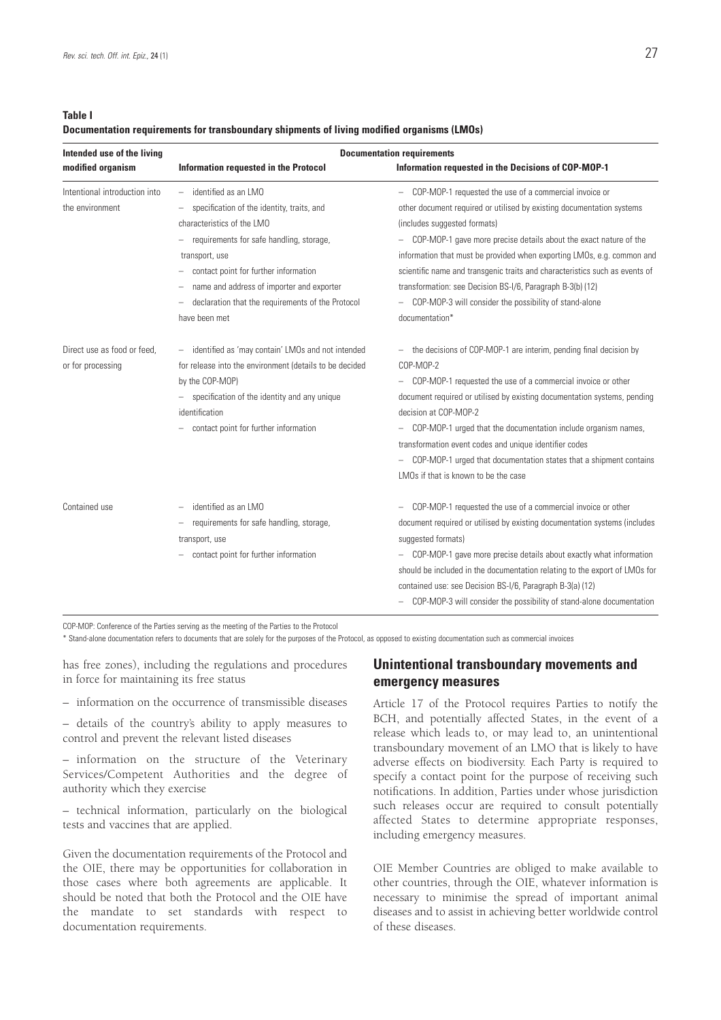**Table I**

#### **Documentation requirements for transboundary shipments of living modified organisms (LMOs)**

| Intended use of the living                       | <b>Documentation requirements</b>                                                                                                                                                                                                                                                                                          |                                                                                                                                                                                                                                                                                                                                                                                                                                                                                                                                         |
|--------------------------------------------------|----------------------------------------------------------------------------------------------------------------------------------------------------------------------------------------------------------------------------------------------------------------------------------------------------------------------------|-----------------------------------------------------------------------------------------------------------------------------------------------------------------------------------------------------------------------------------------------------------------------------------------------------------------------------------------------------------------------------------------------------------------------------------------------------------------------------------------------------------------------------------------|
| modified organism                                | Information requested in the Protocol                                                                                                                                                                                                                                                                                      | Information requested in the Decisions of COP-MOP-1                                                                                                                                                                                                                                                                                                                                                                                                                                                                                     |
| Intentional introduction into<br>the environment | identified as an LMO<br>specification of the identity, traits, and<br>characteristics of the LMO<br>requirements for safe handling, storage,<br>transport, use<br>contact point for further information<br>name and address of importer and exporter<br>declaration that the requirements of the Protocol<br>have been met | COP-MOP-1 requested the use of a commercial invoice or<br>other document required or utilised by existing documentation systems<br>(includes suggested formats)<br>COP-MOP-1 gave more precise details about the exact nature of the<br>information that must be provided when exporting LMOs, e.g. common and<br>scientific name and transgenic traits and characteristics such as events of<br>transformation: see Decision BS-I/6, Paragraph B-3(b) (12)<br>COP-MOP-3 will consider the possibility of stand-alone<br>documentation* |
| Direct use as food or feed,<br>or for processing | identified as 'may contain' LMOs and not intended<br>for release into the environment (details to be decided<br>by the COP-MOP)<br>specification of the identity and any unique<br>identification<br>contact point for further information                                                                                 | the decisions of COP-MOP-1 are interim, pending final decision by<br>COP-MOP-2<br>COP-MOP-1 requested the use of a commercial invoice or other<br>document required or utilised by existing documentation systems, pending<br>decision at COP-MOP-2<br>COP-MOP-1 urged that the documentation include organism names,<br>transformation event codes and unique identifier codes<br>COP-MOP-1 urged that documentation states that a shipment contains<br>LMOs if that is known to be the case                                           |
| Contained use                                    | identified as an LMO<br>requirements for safe handling, storage,<br>transport, use<br>contact point for further information                                                                                                                                                                                                | COP-MOP-1 requested the use of a commercial invoice or other<br>document required or utilised by existing documentation systems (includes<br>suggested formats)<br>COP-MOP-1 gave more precise details about exactly what information<br>should be included in the documentation relating to the export of LMOs for<br>contained use: see Decision BS-I/6, Paragraph B-3(a) (12)<br>COP-MOP-3 will consider the possibility of stand-alone documentation                                                                                |

COP-MOP: Conference of the Parties serving as the meeting of the Parties to the Protocol

\* Stand-alone documentation refers to documents that are solely for the purposes of the Protocol, as opposed to existing documentation such as commercial invoices

has free zones), including the regulations and procedures in force for maintaining its free status

– information on the occurrence of transmissible diseases

– details of the country's ability to apply measures to control and prevent the relevant listed diseases

– information on the structure of the Veterinary Services/Competent Authorities and the degree of authority which they exercise

– technical information, particularly on the biological tests and vaccines that are applied.

Given the documentation requirements of the Protocol and the OIE, there may be opportunities for collaboration in those cases where both agreements are applicable. It should be noted that both the Protocol and the OIE have the mandate to set standards with respect to documentation requirements.

#### **Unintentional transboundary movements and emergency measures**

Article 17 of the Protocol requires Parties to notify the BCH, and potentially affected States, in the event of a release which leads to, or may lead to, an unintentional transboundary movement of an LMO that is likely to have adverse effects on biodiversity. Each Party is required to specify a contact point for the purpose of receiving such notifications. In addition, Parties under whose jurisdiction such releases occur are required to consult potentially affected States to determine appropriate responses, including emergency measures.

OIE Member Countries are obliged to make available to other countries, through the OIE, whatever information is necessary to minimise the spread of important animal diseases and to assist in achieving better worldwide control of these diseases.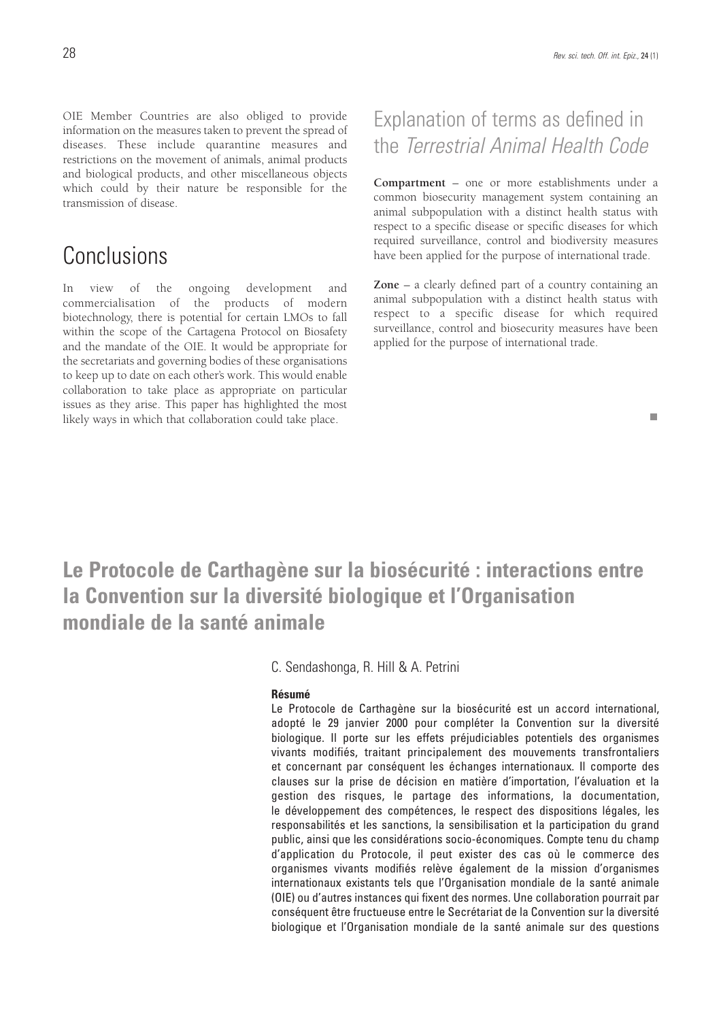OIE Member Countries are also obliged to provide information on the measures taken to prevent the spread of diseases. These include quarantine measures and restrictions on the movement of animals, animal products and biological products, and other miscellaneous objects which could by their nature be responsible for the transmission of disease.

### **Conclusions**

In view of the ongoing development and commercialisation of the products of modern biotechnology, there is potential for certain LMOs to fall within the scope of the Cartagena Protocol on Biosafety and the mandate of the OIE. It would be appropriate for the secretariats and governing bodies of these organisations to keep up to date on each other's work. This would enable collaboration to take place as appropriate on particular issues as they arise. This paper has highlighted the most likely ways in which that collaboration could take place.

### Explanation of terms as defined in the Terrestrial Animal Health Code

**Compartment** – one or more establishments under a common biosecurity management system containing an animal subpopulation with a distinct health status with respect to a specific disease or specific diseases for which required surveillance, control and biodiversity measures have been applied for the purpose of international trade.

**Zone** – a clearly defined part of a country containing an animal subpopulation with a distinct health status with respect to a specific disease for which required surveillance, control and biosecurity measures have been applied for the purpose of international trade.

m.

### **Le Protocole de Carthagène sur la biosécurité : interactions entre la Convention sur la diversité biologique et l'Organisation mondiale de la santé animale**

#### C. Sendashonga, R. Hill & A. Petrini

#### **Résumé**

Le Protocole de Carthagène sur la biosécurité est un accord international, adopté le 29 janvier 2000 pour compléter la Convention sur la diversité biologique. Il porte sur les effets préjudiciables potentiels des organismes vivants modifiés, traitant principalement des mouvements transfrontaliers et concernant par conséquent les échanges internationaux. Il comporte des clauses sur la prise de décision en matière d'importation, l'évaluation et la gestion des risques, le partage des informations, la documentation, le développement des compétences, le respect des dispositions légales, les responsabilités et les sanctions, la sensibilisation et la participation du grand public, ainsi que les considérations socio-économiques. Compte tenu du champ d'application du Protocole, il peut exister des cas où le commerce des organismes vivants modifiés relève également de la mission d'organismes internationaux existants tels que l'Organisation mondiale de la santé animale (OIE) ou d'autres instances qui fixent des normes. Une collaboration pourrait par conséquent être fructueuse entre le Secrétariat de la Convention sur la diversité biologique et l'Organisation mondiale de la santé animale sur des questions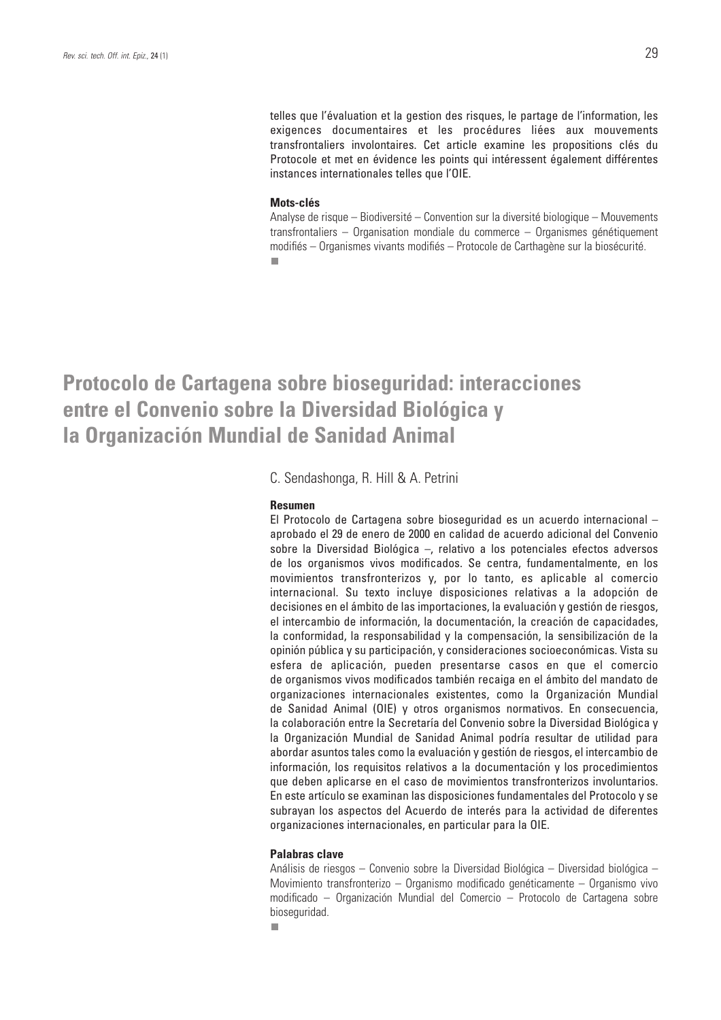telles que l'évaluation et la gestion des risques, le partage de l'information, les exigences documentaires et les procédures liées aux mouvements transfrontaliers involontaires. Cet article examine les propositions clés du Protocole et met en évidence les points qui intéressent également différentes instances internationales telles que l'OIE.

#### **Mots-clés**

Analyse de risque – Biodiversité – Convention sur la diversité biologique – Mouvements transfrontaliers – Organisation mondiale du commerce – Organismes génétiquement modifiés – Organismes vivants modifiés – Protocole de Carthagène sur la biosécurité.п

### **Protocolo de Cartagena sobre bioseguridad: interacciones entre el Convenio sobre la Diversidad Biológica y la Organización Mundial de Sanidad Animal**

C. Sendashonga, R. Hill & A. Petrini

#### **Resumen**

El Protocolo de Cartagena sobre bioseguridad es un acuerdo internacional – aprobado el 29 de enero de 2000 en calidad de acuerdo adicional del Convenio sobre la Diversidad Biológica –, relativo a los potenciales efectos adversos de los organismos vivos modificados. Se centra, fundamentalmente, en los movimientos transfronterizos y, por lo tanto, es aplicable al comercio internacional. Su texto incluye disposiciones relativas a la adopción de decisiones en el ámbito de las importaciones, la evaluación y gestión de riesgos, el intercambio de información, la documentación, la creación de capacidades, la conformidad, la responsabilidad y la compensación, la sensibilización de la opinión pública y su participación, y consideraciones socioeconómicas. Vista su esfera de aplicación, pueden presentarse casos en que el comercio de organismos vivos modificados también recaiga en el ámbito del mandato de organizaciones internacionales existentes, como la Organización Mundial de Sanidad Animal (OIE) y otros organismos normativos. En consecuencia, la colaboración entre la Secretaría del Convenio sobre la Diversidad Biológica y la Organización Mundial de Sanidad Animal podría resultar de utilidad para abordar asuntos tales como la evaluación y gestión de riesgos, el intercambio de información, los requisitos relativos a la documentación y los procedimientos que deben aplicarse en el caso de movimientos transfronterizos involuntarios. En este artículo se examinan las disposiciones fundamentales del Protocolo y se subrayan los aspectos del Acuerdo de interés para la actividad de diferentes organizaciones internacionales, en particular para la OIE.

#### **Palabras clave**

Análisis de riesgos – Convenio sobre la Diversidad Biológica – Diversidad biológica – Movimiento transfronterizo – Organismo modificado genéticamente – Organismo vivo modificado – Organización Mundial del Comercio – Protocolo de Cartagena sobre bioseguridad.